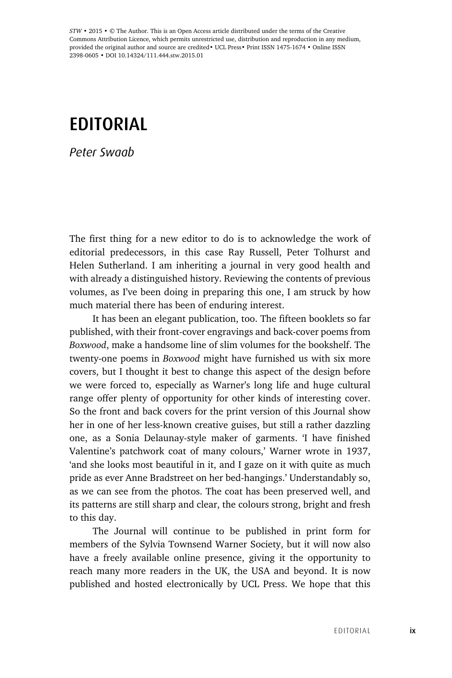*STW* • 2015 • © The Author. This is an Open Access article distributed under the terms of the Creative Commons Attribution Licence, which permits unrestricted use, distribution and reproduction in any medium, provided the original author and source are credited• UCL Press• Print ISSN 1475-1674 • Online ISSN 2398-0605 • DOI 10.14324/111.444.stw.2015.01

## EDITORIAL

*Peter Swaab*

The first thing for a new editor to do is to acknowledge the work of editorial predecessors, in this case Ray Russell, Peter Tolhurst and Helen Sutherland. I am inheriting a journal in very good health and with already a distinguished history. Reviewing the contents of previous volumes, as I've been doing in preparing this one, I am struck by how much material there has been of enduring interest.

It has been an elegant publication, too. The fifteen booklets so far published, with their front-cover engravings and back-cover poems from *Boxwood*, make a handsome line of slim volumes for the bookshelf. The twenty-one poems in *Boxwood* might have furnished us with six more covers, but I thought it best to change this aspect of the design before we were forced to, especially as Warner's long life and huge cultural range offer plenty of opportunity for other kinds of interesting cover. So the front and back covers for the print version of this Journal show her in one of her less-known creative guises, but still a rather dazzling one, as a Sonia Delaunay-style maker of garments. 'I have finished Valentine's patchwork coat of many colours,' Warner wrote in 1937, 'and she looks most beautiful in it, and I gaze on it with quite as much pride as ever Anne Bradstreet on her bed-hangings.' Understandably so, as we can see from the photos. The coat has been preserved well, and its patterns are still sharp and clear, the colours strong, bright and fresh to this day.

The Journal will continue to be published in print form for members of the Sylvia Townsend Warner Society, but it will now also have a freely available online presence, giving it the opportunity to reach many more readers in the UK, the USA and beyond. It is now published and hosted electronically by UCL Press. We hope that this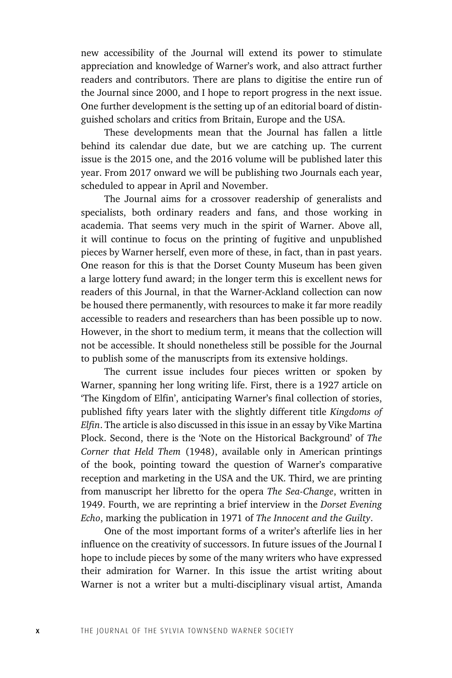new accessibility of the Journal will extend its power to stimulate appreciation and knowledge of Warner's work, and also attract further readers and contributors. There are plans to digitise the entire run of the Journal since 2000, and I hope to report progress in the next issue. One further development is the setting up of an editorial board of distinguished scholars and critics from Britain, Europe and the USA.

These developments mean that the Journal has fallen a little behind its calendar due date, but we are catching up. The current issue is the 2015 one, and the 2016 volume will be published later this year. From 2017 onward we will be publishing two Journals each year, scheduled to appear in April and November.

The Journal aims for a crossover readership of generalists and specialists, both ordinary readers and fans, and those working in academia. That seems very much in the spirit of Warner. Above all, it will continue to focus on the printing of fugitive and unpublished pieces by Warner herself, even more of these, in fact, than in past years. One reason for this is that the Dorset County Museum has been given a large lottery fund award; in the longer term this is excellent news for readers of this Journal, in that the Warner-Ackland collection can now be housed there permanently, with resources to make it far more readily accessible to readers and researchers than has been possible up to now. However, in the short to medium term, it means that the collection will not be accessible. It should nonetheless still be possible for the Journal to publish some of the manuscripts from its extensive holdings.

The current issue includes four pieces written or spoken by Warner, spanning her long writing life. First, there is a 1927 article on 'The Kingdom of Elfin', anticipating Warner's final collection of stories, published fifty years later with the slightly different title *Kingdoms of Elfin*. The article is also discussed in this issue in an essay by Vike Martina Plock. Second, there is the 'Note on the Historical Background' of *The Corner that Held Them* (1948), available only in American printings of the book, pointing toward the question of Warner's comparative reception and marketing in the USA and the UK. Third, we are printing from manuscript her libretto for the opera *The Sea-Change*, written in 1949. Fourth, we are reprinting a brief interview in the *Dorset Evening Echo*, marking the publication in 1971 of *The Innocent and the Guilty*.

One of the most important forms of a writer's afterlife lies in her influence on the creativity of successors. In future issues of the Journal I hope to include pieces by some of the many writers who have expressed their admiration for Warner. In this issue the artist writing about Warner is not a writer but a multi-disciplinary visual artist, Amanda